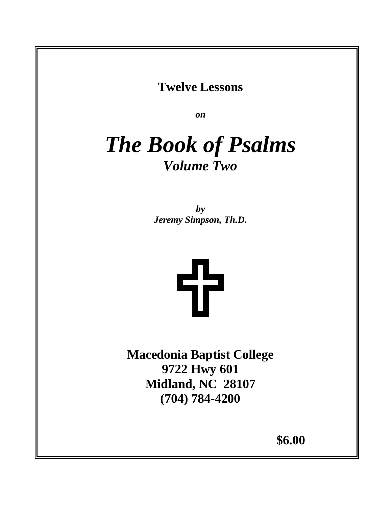# **Twelve Lessons**

*on*

# *The Book of Psalms Volume Two*

*by Jeremy Simpson, Th.D.* 



**Macedonia Baptist College 9722 Hwy 601 Midland, NC 28107 (704) 784-4200** 

**\$6.00**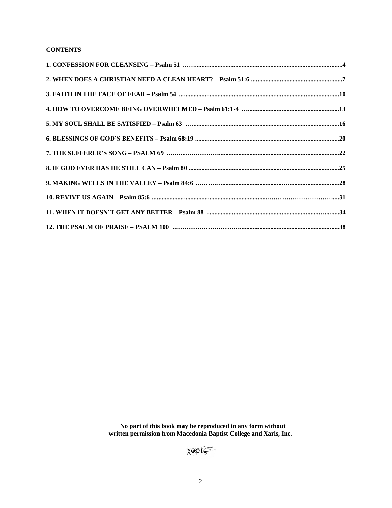# **CONTENTS**

 **No part of this book may be reproduced in any form without written permission from Macedonia Baptist College and Xaris, Inc.**

XOPIS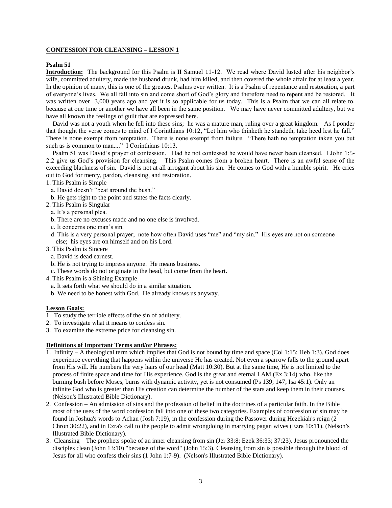#### **CONFESSION FOR CLEANSING – LESSON 1**

#### **Psalm 51**

**Introduction:** The background for this Psalm is II Samuel 11-12. We read where David lusted after his neighbor's wife, committed adultery, made the husband drunk, had him killed, and then covered the whole affair for at least a year. In the opinion of many, this is one of the greatest Psalms ever written. It is a Psalm of repentance and restoration, a part of everyone's lives. We all fall into sin and come short of God's glory and therefore need to repent and be restored. It was written over 3,000 years ago and yet it is so applicable for us today. This is a Psalm that we can all relate to, because at one time or another we have all been in the same position. We may have never committed adultery, but we have all known the feelings of guilt that are expressed here.

 David was not a youth when he fell into these sins; he was a mature man, ruling over a great kingdom. As I ponder that thought the verse comes to mind of I Corinthians 10:12, "Let him who thinketh he standeth, take heed lest he fall." There is none exempt from temptation. There is none exempt from failure. "There hath no temptation taken you but such as is common to man...." I Corinthians 10:13.

 Psalm 51 was David's prayer of confession. Had he not confessed he would have never been cleansed. I John 1:5- 2:2 give us God's provision for cleansing. This Psalm comes from a broken heart. There is an awful sense of the exceeding blackness of sin. David is not at all arrogant about his sin. He comes to God with a humble spirit. He cries out to God for mercy, pardon, cleansing, and restoration.

1. This Psalm is Simple

- a. David doesn't "beat around the bush."
- b. He gets right to the point and states the facts clearly.
- 2. This Psalm is Singular
	- a. It's a personal plea.
	- b. There are no excuses made and no one else is involved.
	- c. It concerns one man's sin.
	- d. This is a very personal prayer; note how often David uses "me" and "my sin." His eyes are not on someone else; his eyes are on himself and on his Lord.
- 3. This Psalm is Sincere
	- a. David is dead earnest.
	- b. He is not trying to impress anyone. He means business.
	- c. These words do not originate in the head, but come from the heart.
- 4. This Psalm is a Shining Example
	- a. It sets forth what we should do in a similar situation.
- b. We need to be honest with God. He already knows us anyway.

#### **Lesson Goals:**

- 1. To study the terrible effects of the sin of adultery.
- 2. To investigate what it means to confess sin.
- 3. To examine the extreme price for cleansing sin.

#### **Definitions of Important Terms and/or Phrases:**

- 1. Infinity A theological term which implies that God is not bound by time and space (Col 1:15; Heb 1:3). God does experience everything that happens within the universe He has created. Not even a sparrow falls to the ground apart from His will. He numbers the very hairs of our head (Matt 10:30). But at the same time, He is not limited to the process of finite space and time for His experience. God is the great and eternal I AM (Ex 3:14) who, like the burning bush before Moses, burns with dynamic activity, yet is not consumed (Ps 139; 147; Isa 45:1). Only an infinite God who is greater than His creation can determine the number of the stars and keep them in their courses. (Nelson's Illustrated Bible Dictionary).
- 2. Confession An admission of sins and the profession of belief in the doctrines of a particular faith. In the Bible most of the uses of the word confession fall into one of these two categories. Examples of confession of sin may be found in Joshua's words to Achan (Josh 7:19), in the confession during the Passover during Hezekiah's reign (2 Chron 30:22), and in Ezra's call to the people to admit wrongdoing in marrying pagan wives (Ezra 10:11). (Nelson's Illustrated Bible Dictionary).
- 3. Cleansing The prophets spoke of an inner cleansing from sin (Jer 33:8; Ezek 36:33; 37:23). Jesus pronounced the disciples clean (John 13:10) "because of the word" (John 15:3). Cleansing from sin is possible through the blood of Jesus for all who confess their sins (1 John 1:7-9). (Nelson's Illustrated Bible Dictionary).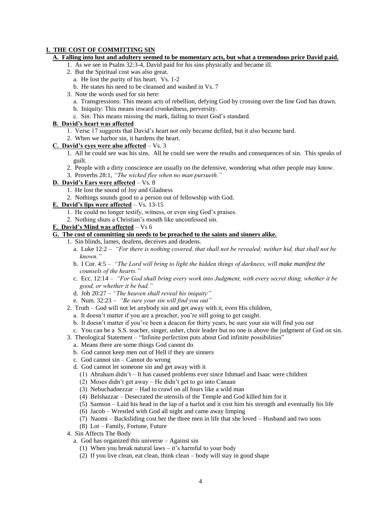#### **I. THE COST OF COMMITTING SIN**

#### **A. Falling into lust and adultery seemed to be momentary acts, but what a tremendous price David paid.**

- 1. As we see in Psalm 32:3-4, David paid for his sins physically and became ill.
- 2. But the Spiritual cost was also great.
	- a. He lost the purity of his heart. Vs. 1-2
	- b. He states his need to be cleansed and washed in Vs. 7
- 3. Note the words used for sin here:
	- a. Transgressions: This means acts of rebellion, defying God by crossing over the line God has drawn.
	- b. Iniquity: This means inward crookedness, perversity.
	- c. Sin: This means missing the mark, failing to meet God's standard.

### **B. David's heart was affected**

- 1. Verse 17 suggests that David's heart not only became defiled, but it also became hard.
- 2. When we harbor sin, it hardens the heart.

#### **C. David's eyes were also affected** – Vs. 3

- 1. All he could see was his sins. All he could see were the results and consequences of sin. This speaks of guilt.
- 2. People with a dirty conscience are usually on the defensive, wondering what other people may know.
- 3. Proverbs 28:1, *"The wicked flee when no man pursueth."*
- **D. David's Ears were affected** Vs. 8
	- 1. He lost the sound of Joy and Gladness
	- 2. Nothings sounds good to a person out of fellowship with God.
- **E. David's lips were affected** Vs. 13-15
	- 1. He could no longer testify, witness, or even sing God's praises.
	- 2. Nothing shuts a Christian's mouth like unconfessed sin.

#### **F. David's Mind was affected** – Vs 6

# **G. The cost of committing sin needs to be preached to the saints and sinners alike.**

- 1. Sin blinds, lames, deafens, deceives and deadens.
	- a. Luke 12:2 *"For there is nothing covered, that shall not be revealed; neither hid, that shall not be known."*
	- b. I Cor. 4:5 *"The Lord will bring to light the hidden things of darkness, will make manifest the counsels of the hearts."*
	- c. Ecc. 12:14  *"For God shall bring every work into Judgment, with every secret thing, whether it be good, or whether it be bad."*
	- d. Job 20:27 *"The heaven shall reveal his iniquity"*
	- e. Num. 32:23 *"Be sure your sin will find you out"*
- 2. Truth God will not let anybody sin and get away with it, even His children,
	- a. It doesn't matter if you are a preacher, you're still going to get caught.
	- b. It doesn't matter if you've been a deacon for thirty years, be sure your sin will find you out
	- c. You can be a S.S. teacher, singer, usher, choir leader but no one is above the judgment of God on sin.
- 3. Theological Statement "Infinite perfection puts about God infinite possibilities"
- a. Means there are some things God cannot do
- b. God cannot keep men out of Hell if they are sinners
- c. God cannot sin Cannot do wrong
- d. God cannot let someone sin and get away with it
	- (1) Abraham didn't It has caused problems ever since Ishmael and Isaac were children
	- (2) Moses didn't get away He didn't get to go into Canaan
	- (3) Nebuchadnezzar Had to crawl on all fours like a wild man
	- (4) Belshazzar Desecrated the utensils of the Temple and God killed him for it
	- (5) Samson Laid his head in the lap of a harlot and it cost him his strength and eventually his life
	- (6) Jacob Wrestled with God all night and came away limping
	- (7) Naomi Backsliding cost her the three men in life that she loved Husband and two sons
	- (8) Lot Family, Fortune, Future
- 4. Sin Affects The Body
	- a. God has organized this universe Against sin
		- (1) When you break natural laws it's harmful to your body
		- (2) If you live clean, eat clean, think clean body will stay in good shape